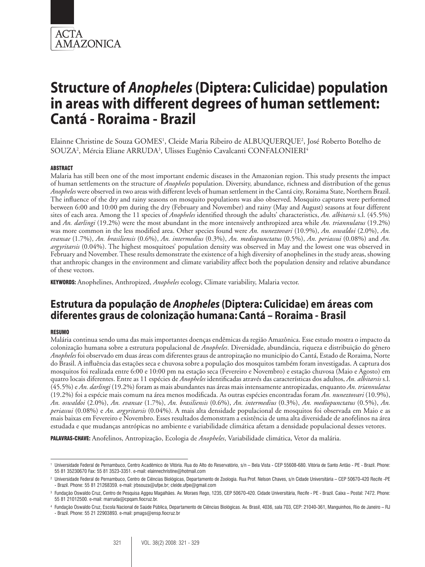

# **Structure of** *Anopheles* **(Diptera: Culicidae) population in areas with different degrees of human settlement: Cantá - Roraima - Brazil**

Elainne Christine de Souza GOMES<sup>1</sup>, Cleide Maria Ribeiro de ALBUQUERQUE<sup>2</sup>, José Roberto Botelho de SOUZA<sup>2</sup>, Mércia Eliane ARRUDA<sup>3</sup>, Ulisses Eugênio Cavalcanti CONFALONIERI<sup>4</sup>

# ABSTRACT

Malaria has still been one of the most important endemic diseases in the Amazonian region. This study presents the impact of human settlements on the structure of *Anopheles* population. Diversity, abundance, richness and distribution of the genus *Anopheles* were observed in two areas with different levels of human settlement in the Cantá city, Roraima State, Northern Brazil. The influence of the dry and rainy seasons on mosquito populations was also observed. Mosquito captures were performed between 6:00 and 10:00 pm during the dry (February and November) and rainy (May and August) seasons at four different sites of each area. Among the 11 species of *Anopheles* identified through the adults' characteristics, *An. albitarsis* s.l. (45.5%) and *An. darlingi* (19.2%) were the most abundant in the more intensively anthropized area while *An. triannulatus* (19.2%) was more common in the less modified area. Other species found were *An. nuneztovari* (10.9%), *An. oswaldoi* (2.0%), *An. evansae* (1.7%), *An. brasiliensis* (0.6%), *An. intermedius* (0.3%), *An. mediopunctatus* (0.5%), *An. periassui* (0.08%) and *An. argyritarsis* (0.04%). The highest mosquitoes' population density was observed in May and the lowest one was observed in February and November. These results demonstrate the existence of a high diversity of anophelines in the study areas, showing that anthropic changes in the environment and climate variability affect both the population density and relative abundance of these vectors.

KEYWORDS: Anophelines, Anthropized, *Anopheles* ecology, Climate variability, Malaria vector.

# **Estrutura da população de** *Anopheles* **(Diptera: Culicidae) em áreas com diferentes graus de colonização humana: Cantá – Roraima - Brasil**

# **RESUMO**

Malária continua sendo uma das mais importantes doenças endêmicas da região Amazônica. Esse estudo mostra o impacto da colonização humana sobre a estrutura populacional de *Anopheles*. Diversidade, abundância, riqueza e distribuição do gênero *Anopheles* foi observado em duas áreas com diferentes graus de antropização no município do Cantá, Estado de Roraima, Norte do Brasil. A influência das estações seca e chuvosa sobre a população dos mosquitos também foram investigadas. A captura dos mosquitos foi realizada entre 6:00 e 10:00 pm na estação seca (Fevereiro e Novembro) e estação chuvosa (Maio e Agosto) em quatro locais diferentes. Entre as 11 espécies de *Anopheles* identificadas através das características dos adultos, *An. albitarsis* s.l. (45.5%) e *An. darlingi* (19.2%) foram as mais abundantes nas áreas mais intensamente antropizadas, enquanto *An. triannulatus* (19.2%) foi a espécie mais comum na área menos modificada. As outras espécies encontradas foram *An. nuneztovari* (10.9%), *An. oswaldoi* (2.0%), *An. evansae* (1.7%), *An. brasiliensis* (0.6%), *An. intermedius* (0.3%), *An. mediopunctatus* (0.5%), *An. periassui* (0.08%) e *An. argyritarsis* (0.04%). A mais alta densidade populacional de mosquitos foi observada em Maio e as mais baixas em Fevereiro e Novembro. Esses resultados demonstram a existência de uma alta diversidade de anofelinos na área estudada e que mudanças antrópicas no ambiente e variabilidade climática afetam a densidade populacional desses vetores.

PALAVRAS-CHAVE: Anofelinos, Antropização, Ecologia de *Anopheles*, Variabilidade climática, Vetor da malária.

<sup>1</sup> Universidade Federal de Pernambuco, Centro Acadêmico de Vitória. Rua do Alto do Reservatório, s/n – Bela Vista - CEP 55608-680. Vitória de Santo Antão - PE - Brazil. Phone: 55 81 35230670 Fax: 55 81 3523-3351. e-mail: elainnechristine@hotmail.com

<sup>2</sup> Universidade Federal de Pernambuco, Centro de Ciências Biológicas, Departamento de Zoologia. Rua Prof. Nelson Chaves, s/n Cidade Universitária – CEP 50670-420 Recife -PE - Brazil. Phone: 55 81 21268359. e-mail: jrbsouza@ufpe.br; cleide.ufpe@gmail.com

<sup>3</sup> Fundação Oswaldo Cruz, Centro de Pesquisa Aggeu Magalhães. Av. Moraes Rego, 1235, CEP 50670-420. Cidade Universitária, Recife - PE - Brazil. Caixa – Postal: 7472. Phone: 55 81 21012500. e-mail: marruda@cpqam.fiocruz.br.

<sup>4</sup> Fundação Oswaldo Cruz, Escola Nacional de Saúde Pública, Departamento de Ciências Biológicas. Av. Brasil, 4036, sala 703, CEP: 21040-361, Manguinhos, Rio de Janeiro – RJ - Brazil. Phone: 55 21 22903893. e-mail: pmags@ensp.fiocruz.br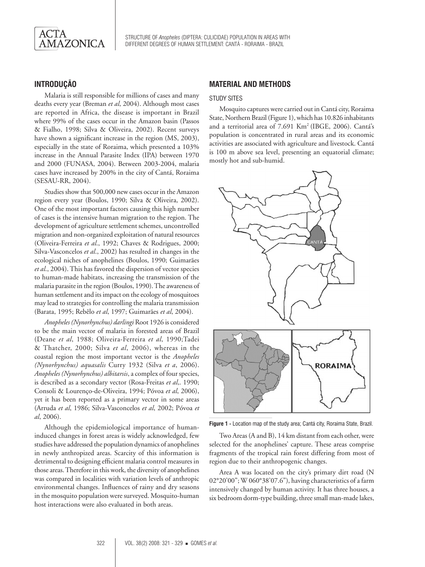

# **INTRODUÇÃO**

Malaria is still responsible for millions of cases and many deaths every year (Breman *et al*, 2004). Although most cases are reported in Africa, the disease is important in Brazil where 99% of the cases occur in the Amazon basin (Passos & Fialho, 1998; Silva & Oliveira, 2002). Recent surveys have shown a significant increase in the region (MS, 2003), especially in the state of Roraima, which presented a 103% increase in the Annual Parasite Index (IPA) between 1970 and 2000 (FUNASA, 2004). Between 2003-2004, malaria cases have increased by 200% in the city of Cantá, Roraima (SESAU-RR, 2004).

Studies show that 500,000 new cases occur in the Amazon region every year (Boulos, 1990; Silva & Oliveira, 2002). One of the most important factors causing this high number of cases is the intensive human migration to the region. The development of agriculture settlement schemes, uncontrolled migration and non-organized exploitation of natural resources (Oliveira-Ferreira *et al*., 1992; Chaves & Rodrigues, 2000; Silva-Vasconcelos *et al*., 2002) has resulted in changes in the ecological niches of anophelines (Boulos, 1990; Guimarães *et al*., 2004). This has favored the dispersion of vector species to human-made habitats, increasing the transmission of the malaria parasite in the region (Boulos, 1990). The awareness of human settlement and its impact on the ecology of mosquitoes may lead to strategies for controlling the malaria transmission (Barata, 1995; Rebêlo *et al*, 1997; Guimarães *et al*, 2004).

*Anopheles (Nynorhynchus) darlingi* Root 1926 is considered to be the main vector of malaria in forested areas of Brazil (Deane *et al*, 1988; Oliveira-Ferreira *et al*, 1990;Tadei & Thatcher, 2000; Silva *et al*, 2006), whereas in the coastal region the most important vector is the *Anopheles (Nynorhynchus) aquasalis* Curry 1932 (Silva *et a*, 2006). *Anopheles (Nynorhynchus) albitarsis*, a complex of four species, is described as a secondary vector (Rosa-Freitas *et al*,. 1990; Consoli & Lourenço-de-Oliveira, 1994; Póvoa *et al*, 2006), yet it has been reported as a primary vector in some areas (Arruda *et al*, 1986; Silva-Vasconcelos *et al*, 2002; Póvoa *et al*, 2006).

Although the epidemiological importance of humaninduced changes in forest areas is widely acknowledged, few studies have addressed the population dynamics of anophelines in newly anthropized areas. Scarcity of this information is detrimental to designing efficient malaria control measures in those areas. Therefore in this work, the diversity of anophelines was compared in localities with variation levels of anthropic environmental changes. Influences of rainy and dry seasons in the mosquito population were surveyed. Mosquito-human host interactions were also evaluated in both areas.

# **MATERIAL AND METHODS**

#### STUDY SITES

Mosquito captures were carried out in Cantá city, Roraima State, Northern Brazil (Figure 1), which has 10.826 inhabitants and a territorial area of 7.691 Km2 (IBGE, 2006). Cantá's population is concentrated in rural areas and its economic activities are associated with agriculture and livestock. Cantá is 100 m above sea level, presenting an equatorial climate; mostly hot and sub-humid.



**Figure 1 -** Location map of the study area; Cantá city, Roraima State, Brazil.

Two Areas (A and B), 14 km distant from each other, were selected for the anophelines' capture. These areas comprise fragments of the tropical rain forest differing from most of region due to their anthropogenic changes.

Area A was located on the city's primary dirt road (N 02°20'00"; W 060°38'07.6"), having characteristics of a farm intensively changed by human activity. It has three houses, a six bedroom dorm-type building, three small man-made lakes,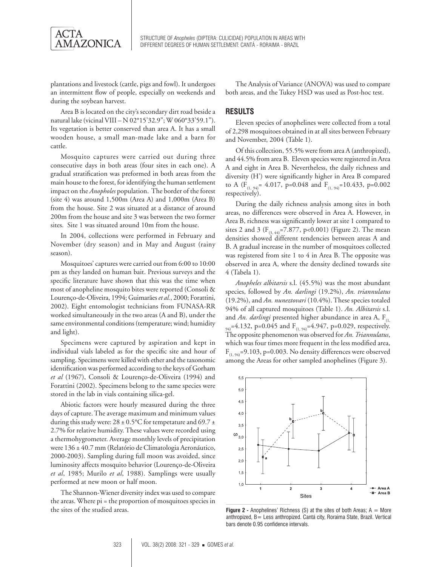

plantations and livestock (cattle, pigs and fowl). It undergoes an intermittent flow of people, especially on weekends and during the soybean harvest.

Area B is located on the city's secondary dirt road beside a natural lake (vicinal VIII – N 02°15'32.9"; W 060°33'59.1"). Its vegetation is better conserved than area A. It has a small wooden house, a small man-made lake and a barn for cattle.

Mosquito captures were carried out during three consecutive days in both areas (four sites in each one). A gradual stratification was preformed in both areas from the main house to the forest, for identifying the human settlement impact on the *Anopholes* population. The border of the forest (site 4) was around 1,500m (Area A) and 1,000m (Area B) from the house. Site 2 was situated at a distance of around 200m from the house and site 3 was between the two former sites. Site 1 was situated around 10m from the house.

In 2004, collections were performed in February and November (dry season) and in May and August (rainy season).

Mosquitoes' captures were carried out from 6:00 to 10:00 pm as they landed on human bait. Previous surveys and the specific literature have shown that this was the time when most of anopheline mosquito bites were reported (Consoli & Lourenço-de-Oliveira, 1994; Guimarães *et al.*, 2000; Forattini, 2002). Eight entomologist technicians from FUNASA-RR worked simultaneously in the two areas (A and B), under the same environmental conditions (temperature; wind; humidity and light).

Specimens were captured by aspiration and kept in individual vials labeled as for the specific site and hour of sampling. Specimens were killed with ether and the taxonomic identification was performed according to the keys of Gorham *et al* (1967), Consoli & Lourenço-de-Oliveira (1994) and Forattini (2002). Specimens belong to the same species were stored in the lab in vials containing silica-gel.

Abiotic factors were hourly measured during the three days of capture. The average maximum and minimum values during this study were:  $28 \pm 0.5$ °C for tempetature and 69.7 ± 2.7% for relative humidity. These values were recorded using a thermohygrometer. Average monthly levels of precipitation were 136 ± 40.7 mm (Relatório de Climatologia Aeronáutico, 2000-2003). Sampling during full moon was avoided, since luminosity affects mosquito behavior (Lourenço-de-Oliveira *et al*, 1985; Murilo *et al*, 1988). Samplings were usually performed at new moon or half moon.

The Shannon-Wiener diversity index was used to compare the areas. Where pi = the proportion of mosquitoes species in the sites of the studied areas.

The Analysis of Variance (ANOVA) was used to compare both areas, and the Tukey HSD was used as Post-hoc test.

# **RESULTS**

Eleven species of anophelines were collected from a total of 2,298 mosquitoes obtained in at all sites between February and November, 2004 (Table 1).

Of this collection, 55.5% were from area A (anthropized), and 44.5% from area B. Eleven species were registered in Area A and eight in Area B. Nevertheless, the daily richness and diversity (H') were significantly higher in Area B compared to A ( $F_{(1, 94)}$ = 4.017, p=0.048 and  $F_{(1, 94)}$ =10.433, p=0.002 respectively).

During the daily richness analysis among sites in both areas, no differences were observed in Area A. However, in Area B, richness was significantly lower at site 1 compared to sites 2 and 3 ( $F_{(3,44)}$ =7.877, p<0.001) (Figure 2). The mean densities showed different tendencies between areas A and B. A gradual increase in the number of mosquitoes collected was registered from site 1 to 4 in Area B. The opposite was observed in area A, where the density declined towards site 4 (Tabela 1).

*Anopheles albitarsis* s.l. (45.5%) was the most abundant species, followed by *An. darlingi* (19.2%), *An. triannulatus* (19.2%), and *An. nuneztovari* (10.4%). These species totaled 94% of all captured mosquitoes (Table 1). *An. Albitarsis* s.l. and *An. darlingi* presented higher abundance in area A, F<sub>(1,</sub>  $_{94)}$ =4.132, p=0.045 and F<sub>(1, 94)</sub>=4.947, p=0.029, respectively. The opposite phenomenon was observed for *An. Triannulatus*, which was four times more frequent in the less modified area,  $F_{(1, 94)}$ =9.103, p=0.003. No density differences were observed among the Areas for other sampled anophelines (Figure 3).



**Figure 2 -** Anophelines' Richness (S) at the sites of both Areas; A = More anthropized, B= Less anthropized. Cantá city, Roraima State, Brazil. Vertical bars denote 0.95 confidence intervals.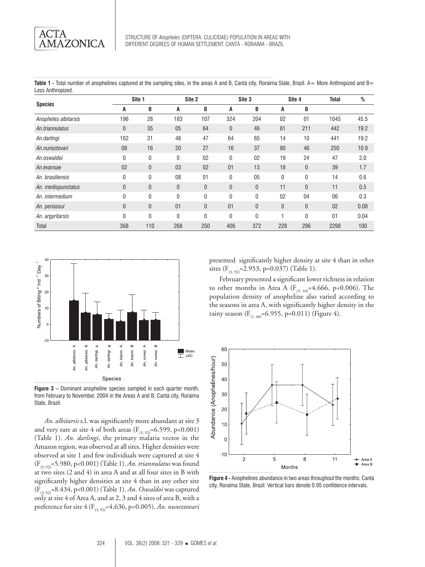Table 1 - Total number of anophelines captured at the sampling sites, in the areas A and B, Cantá city, Roraima State, Brazil, A= More Anthropized and B= Less Anthropized.

| <b>Species</b>       | Site 1       |              | Site 2       |              | Site 3 |              | Site 4       |              | <b>Total</b> | %    |
|----------------------|--------------|--------------|--------------|--------------|--------|--------------|--------------|--------------|--------------|------|
|                      | A            | B            | A            | B            | Α      | B            | A            | B            |              |      |
| Anopheles albitarsis | 196          | 28           | 183          | 107          | 324    | 204          | 02           | 01           | 1045         | 45.5 |
| An.triannulatus      | 0            | 35           | 05           | 64           | 0      | 46           | 81           | 211          | 442          | 19.2 |
| An.darlingi          | 162          | 31           | 48           | 47           | 64     | 65           | 14           | 10           | 441          | 19.2 |
| An.nuneztovari       | 08           | 16           | 20           | 27           | 16     | 37           | 80           | 46           | 250          | 10.9 |
| An.oswaldoi          | 0            | $\mathbf{0}$ | $\mathbf{0}$ | 02           | 0      | 02           | 19           | 24           | 47           | 2.0  |
| An.evansae           | 02           | $\mathbf{0}$ | 03           | 02           | 01     | 13           | 18           | $\mathbf{0}$ | 39           | 1.7  |
| An. brasiliensis     | 0            | $\mathbf{0}$ | 08           | 01           | 0      | 05           | 0            | 0            | 14           | 0.6  |
| An. mediopunctatus   | 0            | $\mathbf{0}$ | $\theta$     | $\theta$     | 0      | $\mathbf{0}$ | 11           | $\mathbf{0}$ | 11           | 0.5  |
| An. intermedium      | 0            | $\mathbf{0}$ | 0            | $\mathbf{0}$ | 0      | $\mathbf{0}$ | 02           | 04           | 06           | 0.3  |
| An. periassui        | $\mathbf{0}$ | $\mathbf{0}$ | 01           | $\mathbf{0}$ | 01     | $\mathbf{0}$ | $\mathbf{0}$ | $\mathbf{0}$ | 02           | 0.08 |
| An. argyritarsis     | $\Omega$     | $\mathbf{0}$ | 0            | $\mathbf{0}$ | 0      | $\mathbf{0}$ |              | $\mathbf{0}$ | 01           | 0.04 |
| Total                | 368          | 110          | 268          | 250          | 406    | 372          | 228          | 296          | 2298         | 100  |



**Figure 3 –** Dominant anopheline species sampled in each quarter month, from February to November, 2004 in the Areas A and B; Cantá city, Roraima State, Brazil.

*An. albitarsis* s.l. was significantly more abundant at site 3 and very rare at site 4 of both areas ( $F_{(3, 92)}$ =6.599, p<0.001) (Table 1). *An. darlingi*, the primary malaria vector in the Amazon region, was observed at all sites. Higher densities were observed at site 1 and few individuals were captured at site 4 (F(3, 92)=5.980, p<0.001) (Table 1). *An. triannulatus* was found at two sites (2 and 4) in area A and at all four sites in B with significantly higher densities at site 4 than in any other site (F(3, 92)=8.434, p<0.001) (Table 1). *An*. *Oswaldoi* was captured only at site 4 of Area A, and at 2, 3 and 4 sites of area B, with a preference for site 4 (F<sub>(3, 92)</sub>=4.636, p=0.005). An. nuneztovari presented significantly higher density at site 4 than in other sites  $(F_{(3, 92)}=2.953, p=0.037)$  (Table 1).

February presented a significant lower richness in relation to other months in Area A ( $F_{(3,44)}$ =4.666, p=0.006). The population density of anopheline also varied according to the seasons in area A, with significantly higher density in the rainy season ( $F_{(1, 46)}$ =6.955, p=0.011) (Figure 4).



**Figure 4 -** Anophelines abundance in two areas throughout the months: Cantá city, Roraima State, Brazil. Vertical bars denote 0.95 confidence intervals.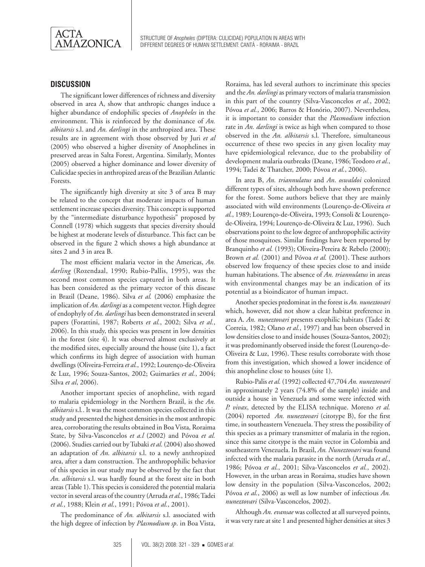

# **DISCUSSION**

The significant lower differences of richness and diversity observed in area A, show that anthropic changes induce a higher abundance of endophilic species of *Anopheles* in the environment. This is reinforced by the dominance of *An. albitarsis* s.l. and *An. darlingi* in the anthropized area. These results are in agreement with those observed by Juri *et al* (2005) who observed a higher diversity of Anophelines in preserved areas in Salta Forest, Argentina. Similarly, Montes (2005) observed a higher dominance and lower diversity of Culicidae species in anthropized areas of the Brazilian Atlantic Forests.

The significantly high diversity at site 3 of area B may be related to the concept that moderate impacts of human settlement increase species diversity. This concept is supported by the "intermediate disturbance hypothesis" proposed by Connell (1978) which suggests that species diversity should be highest at moderate levels of disturbance. This fact can be observed in the figure 2 which shows a high abundance at sites 2 and 3 in area B.

The most efficient malaria vector in the Americas, *An. darling* (Rozendaal, 1990; Rubio-Pallis, 1995), was the second most common species captured in both areas. It has been considered as the primary vector of this disease in Brazil (Deane, 1986). Silva *et al.* (2006) emphasize the implication of *An. darlingi* as a competent vector. High degree of endophyly of *An. darlingi* has been demonstrated in several papers (Forattini, 1987; Roberts *et al.*, 2002; Silva *et al.*, 2006). In this study, this species was present in low densities in the forest (site 4). It was observed almost exclusively at the modified sites, especially around the house (site 1), a fact which confirms its high degree of association with human dwellings (Oliveira-Ferreira *et al.*, 1992; Lourenço-de-Oliveira & Luz, 1996; Souza-Santos, 2002; Guimarães *et al.*, 2004; Silva *et al*, 2006).

Another important species of anopheline, with regard to malaria epidemiology in the Northern Brazil, is the *An. albitarsis* s.l*.*. It was the most common species collected in this study and presented the highest densities in the most anthropic area, corroborating the results obtained in Boa Vista, Roraima State, by Silva-Vasconcelos *et a.l* (2002) and Póvoa *et al.* (2006). Studies carried out by Tubaki *et al.* (2004) also showed an adaptation of *An. albitarsis* s.l. to a newly anthropized area, after a dam construction. The anthropophilic behavior of this species in our study may be observed by the fact that *An. albitarsis* s.l. was hardly found at the forest site in both areas (Table 1). This species is considered the potential malaria vector in several areas of the country (Arruda *et al.*, 1986; Tadei *et al.*, 1988; Klein *et al.*, 1991; Póvoa *et al.*, 2001).

The predominance of *An. albitarsis* s.l. associated with the high degree of infection by *Plasmodium sp*. in Boa Vista,

Roraima, has led several authors to incriminate this species and the *An. darlingi* as primary vectors of malaria transmission in this part of the country (Silva-Vasconcelos *et al.*, 2002; Póvoa *et al.*, 2006; Barros & Honório, 2007). Nevertheless, it is important to consider that the *Plasmodium* infection rate in *An. darlingi* is twice as high when compared to those observed in the *An. albitarsis* s.l*.* Therefore, simultaneous occurrence of these two species in any given locality may have epidemiological relevance, due to the probability of development malaria outbreaks (Deane, 1986; Teodoro *et al.*, 1994; Tadei & Thatcher, 2000; Póvoa *et al.*, 2006).

In area B, *An. triannulatus* and *An*. *oswaldoi* colonized different types of sites, although both have shown preference for the forest. Some authors believe that they are mainly associated with wild environments (Lourenço-de-Oliveira *et al.*, 1989; Lourenço-de-Oliveira, 1993; Consoli & Lourençode-Oliveira, 1994; Lourenço-de-Oliveira & Luz, 1996). Such observations point to the low degree of anthropophilic activity of those mosquitoes. Similar findings have been reported by Branquinho *et al.* (1993); Oliveira-Pereira & Rebelo (2000); Brown *et al.* (2001) and Póvoa *et al.* (2001). These authors observed low frequency of these species close to and inside human habitations. The absence of *An. triannulatus* in areas with environmental changes may be an indication of its potential as a bioindicator of human impact.

Another species predominat in the forest is *An. nuneztovari* which, however, did not show a clear habitat preference in area A. *An. nuneztovari* presents exophilic habitats (Tadei & Correia, 1982; Olano *et al.*, 1997) and has been observed in low densities close to and inside houses (Souza-Santos, 2002); it was predominantly observed inside the forest (Lourenço-de-Oliveira & Luz, 1996). These results corroborate with those from this investigation, which showed a lower incidence of this anopheline close to houses (site 1).

Rubio-Palis *et al.* (1992) collected 47,704 *An. nuneztovari* in approximately 2 years (74.8% of the sample) inside and outside a house in Venezuela and some were infected with *P. vivax*, detected by the ELISA technique. Moreno *et al.* (2004) reported *An. nuneztovari* (citotype B), for the first time, in southeastern Venezuela. They stress the possibility of this species as a primary transmitter of malaria in the region, since this same citotype is the main vector in Colombia and southeastern Venezuela. In Brazil, *An. Nuneztovari* was found infected with the malaria parasite in the north (Arruda *et al.*, 1986; Póvoa *et al.*, 2001; Silva-Vasconcelos *et al.*, 2002). However, in the urban areas in Roraima, studies have shown low density in the population (Silva-Vasconcelos, 2002; Póvoa *et al.*, 2006) as well as low number of infectious *An. nuneztovari* (Silva-Vasconcelos, 2002).

Although *An. evansae* was collected at all surveyed points, it was very rare at site 1 and presented higher densities at sites 3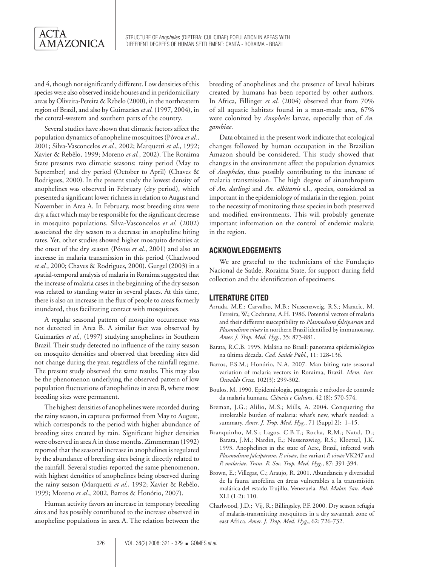Structure of *Anopheles* (Diptera: Culicidae) population in areas with different degrees of human settlement: Cantá - Roraima - Brazil

and 4, though not significantly different. Low densities of this species were also observed inside houses and in peridomiciliary areas by Oliveira-Pereira & Rebelo (2000), in the northeastern region of Brazil, and also by Guimarães *et al.* (1997, 2004), in the central-western and southern parts of the country.

Several studies have shown that climatic factors affect the population dynamics of anopheline mosquitoes (Póvoa *et al.*, 2001; Silva-Vasconcelos *et al.*, 2002; Marquetti *et al.*, 1992; Xavier & Rebêlo, 1999; Moreno *et al.*, 2002). The Roraima State presents two climatic seasons: rainy period (May to September) and dry period (October to April) (Chaves & Rodrigues, 2000). In the present study the lowest density of anophelines was observed in February (dry period), which presented a significant lower richness in relation to August and November in Area A. In February, most breeding sites were dry, a fact which may be responsible for the significant decrease in mosquito populations. Silva-Vasconcelos *et al.* (2002) associated the dry season to a decrease in anopheline biting rates. Yet, other studies showed higher mosquito densities at the onset of the dry season (Póvoa *et al.*, 2001) and also an increase in malaria transmission in this period (Charlwood *et al.*, 2000; Chaves & Rodrigues, 2000). Gurgel (2003) in a spatial-temporal analysis of malaria in Roraima suggested that the increase of malaria cases in the beginning of the dry season was related to standing water in several places. At this time, there is also an increase in the flux of people to areas formerly inundated, thus facilitating contact with mosquitoes.

A regular seasonal pattern of mosquito occurrence was not detected in Area B. A similar fact was observed by Guimarães *et al.*, (1997) studying anophelines in Southern Brazil. Their study detected no influence of the rainy season on mosquito densities and observed that breeding sites did not change during the year, regardless of the rainfall regime. The present study observed the same results. This may also be the phenomenon underlying the observed pattern of low population fluctuations of anophelines in area B, where most breeding sites were permanent.

The highest densities of anophelines were recorded during the rainy season, in captures preformed from May to August, which corresponds to the period with higher abundance of breeding sites created by rain. Significant higher densities were observed in area A in those months. Zimmerman (1992) reported that the seasonal increase in anophelines is regulated by the abundance of breeding sites being it directly related to the rainfall. Several studies reported the same phenomenon, with highest densities of anophelines being observed during the rainy season (Marquetti *et al.*, 1992; Xavier & Rebêlo, 1999; Moreno *et al*., 2002, Barros & Honório, 2007).

Human activity favors an increase in temporary breeding sites and has possibly contributed to the increase observed in anopheline populations in area A. The relation between the

breeding of anophelines and the presence of larval habitats created by humans has been reported by other authors. In Africa, Fillinger *et al.* (2004) observed that from 70% of all aquatic habitats found in a man-made area, 67% were colonized by *Anopheles* larvae, especially that of *An. gambiae*.

Data obtained in the present work indicate that ecological changes followed by human occupation in the Brazilian Amazon should be considered. This study showed that changes in the environment affect the population dynamics of *Anopheles*, thus possibly contributing to the increase of malaria transmission. The high degree of sinanthropism of *An. darlingi* and *An. albitarsis* s.l., species, considered as important in the epidemiology of malaria in the region, point to the necessity of monitoring these species in both preserved and modified environments. This will probably generate important information on the control of endemic malaria in the region.

# **ACKNOWLEDGEMENTS**

We are grateful to the technicians of the Fundação Nacional de Saúde, Roraima State, for support during field collection and the identification of specimens.

# **LITERATURE CITED**

- Arruda, M.E.; Carvalho, M.B.; Nussenzweig, R.S.; Maracic, M. Ferreira, W.; Cochrane, A.H. 1986. Potential vectors of malaria and their different susceptibility to *Plasmodium falciparum* and *Plasmodium vivax* in northern Brazil identified by immunoassay. *Amer. J. Trop. Med. Hyg*., 35: 873-881.
- Barata, R.C.B. 1995. Malária no Brasil: panorama epidemiológico na última década. *Cad. Saúde Públ*., 11: 128-136.
- Barros, F.S.M.; Honório, N.A. 2007. Man biting rate seasonal variation of malaria vectors in Roraima, Brazil. *Mem. Inst. Oswaldo Cruz,* 102(3): 299-302.
- Boulos, M. 1990. Epidemiologia, patogenia e métodos de controle da malaria humana. *Ciência e Cultura*, 42 (8): 570-574.
- Breman, J.G.; Alilio, M.S.; Mills, A. 2004. Conquering the intolerable burden of malaria: what's new, what's needed: a summary. *Amer. J. Trop. Med. Hyg.*, 71 (Suppl 2): 1–15.
- Branquinho, M.S.; Lagos, C.B.T.; Rocha, R.M.; Natal, D.; Barata, J.M.; Nardin, E.; Nussenzwieg, R.S.; Kloetzel, J.K. 1993. Anophelines in the state of Acre, Brazil, infected with *Plasmodium falciparum*, *P. vivax*, the variant *P. vivax* VK247 and *P. malariae*. *Trans. R. Soc. Trop. Med. Hyg.*, 87: 391-394.
- Brown, E.; Villegas, C.; Araujo, R. 2001. Abundancia y diversidad de la fauna anofelina en áreas vulnerables a la transmisión malárica del estado Trujillo, Venezuela. *Bol. Malar. San. Amb.* XLI (1-2): 110.
- Charlwood, J.D.; Vij, R.; Billingsley, P.F. 2000. Dry season refugia of malaria-transmitting mosquitoes in a dry savannah zone of east Africa. *Amer. J. Trop. Med. Hyg*., 62: 726-732.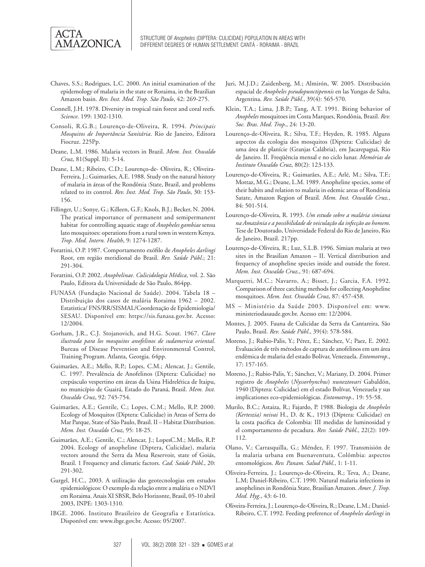

- Chaves, S.S.; Rodrigues, L.C. 2000. An initial examination of the epidemology of malaria in the state or Roraima, in the Brazilian Amazon basin. *Rev. Inst. Med. Trop. São Paulo*, 42: 269-275.
- Connell, J.H. 1978. Diversity in tropical rain forest and coral reefs. *Science*. 199: 1302-1310.
- Consoli, R.G.B.; Lourenço-de-Oliveira, R. 1994. *Principais Mosquitos de Importância Sanitária*. Rio de Janeiro, Editora Fiocruz. 225Pp.
- Deane, L.M. 1986. Malaria vectors in Brazil. *Mem. Inst. Oswaldo Cruz*, 81(Suppl. II): 5-14.
- Deane, L.M.; Ribeiro, C.D.; Lourenço-de- Oliveira, R.; Oliveira-Ferreira, J.; Guimarães, A.E. 1988. Study on the natural history of malaria in áreas of the Rondônia :State, Brazil, and problems related to its control. *Rev. Inst. Med. Trop. São Paulo*, 30: 153- 156.
- Fillinger, U.; Sonye, G.; Killeen, G.F.; Knols, B.J.; Becker, N. 2004. The pratical importance of permanent and semipermanent habitat for controlling aquatic stage of *Anopheles gambiae* sensu lato mosquitoes: operations from a rural town in western Kenya. *Trop. Med. Intern. Health*, 9: 1274-1287.
- Forattini, O.P. 1987. Comportamento exófilo de *Anopheles darlingi*  Root, em região meridional do Brasil. *Rev. Saúde Públ*.; 21: 291-304.
- Forattini, O.P. 2002. *Anophelinae. Culicidologia Médica*, vol. 2. São Paulo, Editora da Universidade de São Paulo, 864pp.
- FUNASA (Fundação Nacional de Saúde). 2004. Tabela 18 Distribuição dos casos de malária Roraima 1962 – 2002. Estatistica/ FNS/RR/SISMAL/Coordenação de Epidemiologia/ SESAU. Disponível em: https://sis.funasa.gov.br. Acesso: 12/2004.
- Gorham, J.R., C.J. Stojanovich, and H.G. Scout. 1967. *Clave ilustrada para los mosquitos anofelinos de sudamerica oriental*. Bureau of Disease Prevention and Environmental Control, Training Program. Atlanta, Georgia. 64pp.
- Guimarães, A.E.; Mello, R.P.; Lopes, C.M.; Alencar, J.; Gentile, C. 1997. Prevalência de Anofelinos (Diptera: Culicidae) no crepúsculo vespertino em áreas da Usina Hidrelética de Itaipu, no município de Guairá, Estado do Paraná, Brasil. *Mem. Inst. Oswaldo Cruz*, 92: 745-754.
- Guimarães, A.E.; Gentile, C.; Lopes, C.M.; Mello, R.P. 2000. Ecology of Mosquitos (Diptera: Culicidae) in Areas of Serra do Mar Parque, State of São Paulo, Brasil. II – Habitat Distribution. *Mem. Inst. Oswaldo Cruz*, 95: 18-25.
- Guimarães, A.E.; Gentile, C.; Alencar, J.; LopesC.M.; Mello, R.P. 2004. Ecology of anopheline (Diptera, Culicidae), malaria vectors around the Serra da Mesa Reservoir, state of Goiás, Brazil. 1 Frequency and climatic factors. *Cad. Saúde Públ*., 20: 291-302.
- Gurgel, H.C., 2003. A utilização das geotecnologias em estudos epidemiológicos: O exemplo da relação entre a malária e o NDVI em Roraima. Anais XI SBSR, Belo Horizonte, Brasil, 05-10 abril 2003, INPE: 1303-1310.
- IBGE. 2006. Instituto Brasileiro de Geografia e Estatística. Disponível em: www.ibge.gov.br. Acesso: 05/2007.
- Juri, M.J.D.; Zaidenberg, M.; Almirón, W. 2005. Distribución espacial de *Anopheles pseudopunctipennis* en las Yungas de Salta, Argentina. *Rev. Saúde Públ.*, 39(4): 565-570.
- Klein, T.A.; Lima, J.B.P.; Tang, A.T. 1991. Biting behavior of *Anopheles* mosquitoes im Costa Marques, Rondônia, Brazil. *Rev. Soc. Bras. Med. Trop*., 24: 13-20.
- Lourenço-de-Oliveira, R.; Silva, T.F.; Heyden, R. 1985. Alguns aspectos da ecologia dos mosquitos (Diptera: Culicidae) de uma área de planície (Granjas Calábria), em Jacarepaguá, Rio de Janeiro. II. Freqüência mensal e no ciclo lunar. *Memórias do Instituto Oswaldo Cruz*, 80(2): 123-133.
- Lourenço-de-Oliveira, R.; Guimarães, A.E.; Arlé, M.; Silva, T.F.; Mottaz, M.G.; Deane, L.M. 1989. Anopheline species, some of their habits and relation to malaria in edemic areas of Rondônia Satate, Amazon Region of Brazil. *Mem. Inst. Oswaldo Cruz.*, 84: 501-514.
- Lourenço-de-Oliveira, R. 1993. *Um estudo sobre a malária simiana na Amazônia e a possibilidade de veiculação da infecção ao homem*. Tese de Doutorado, Universidade Federal do Rio de Janeiro, Rio de Janeiro, Brazil. 217pp.
- Lourenço-de-Oliveira, R.; Luz, S.L.B. 1996. Simian malaria at two sites in the Brasilian Amazon – II. Vertical distribution and frequency of anopheline species inside and outside the forest. *Mem. Inst. Oswaldo Cruz*., 91: 687-694.
- Marquetti, M.C.; Navarro, A.; Bisset, J.; Garcia, F.A. 1992. Comparison of three catching methods for collecting Anopheline mosquitoes. *Mem. Inst. Oswaldo Cruz*, 87: 457-458.
- MS Ministério da Saúde 2003. Disponível em: www. ministeriodasaude.gov.br. Acesso em: 12/2004.
- Montes, J. 2005. Fauna de Culicidae da Serra da Cantareira, São Paulo, Brasil. *Rev. Saúde Públ*., 39(4): 578-584.
- Moreno, J.; Rubio-Palis, Y.; Pérez, E.; Sánchez, V.; Paez, E. 2002. Evaluación de três métodos de captura de anofelinos em um área endêmica de malaria del estado Bolívar, Venezuela. *Entomotrop*., 17: 157-165.
- Moreno, J.; Rubio-Palis, Y.; Sánchez, V.; Mariany, D. 2004. Primer registro de *Anopheles* (*Nyssorhynchus*) *nuneztovari* Gabaldón, 1940 (Diptera: Culicidae) em el estado Bolívar, Venezuela y sus implicationes eco-epidemiológicas. *Entomotrop.,* 19: 55-58.
- Murilo, B.C.; Astaiza, R.; Fajardo, P. 1988. Biologia de *Anopheles (Kerteszia) neivai* H., D. & K., 1913 (Díptera: Culicidae) en la costa pacifica de Colombia: III medidas de luminosidad y el comportamento de pecadura. *Rev. Saúde Públ*., 22(2): 109- 112.
- Olano, V.; Carrasquilla, G.; Méndez, F. 1997. Transmisión de la malaria urbana em Buenaventura, Colômbia: aspectos entomológicos. *Rev. Panam. Salud Públ.*, 1: 1-11.
- Oliveira-Ferreira, J.; Lourenço-de-Oliveira, R.; Teva, A.; Deane, L.M; Daniel-Ribeiro, C.T. 1990. Natural malaria infections in anophelines in Rondônia State, Brasilian Amazon. *Amer. J. Trop. Med. Hyg*., 43: 6-10.
- Oliveira-Ferreira, J.; Lourenço-de-Oliveira, R.; Deane, L.M.; Daniel-Ribeiro, C.T. 1992. Feeding preference of *Anopheles darlingi* in